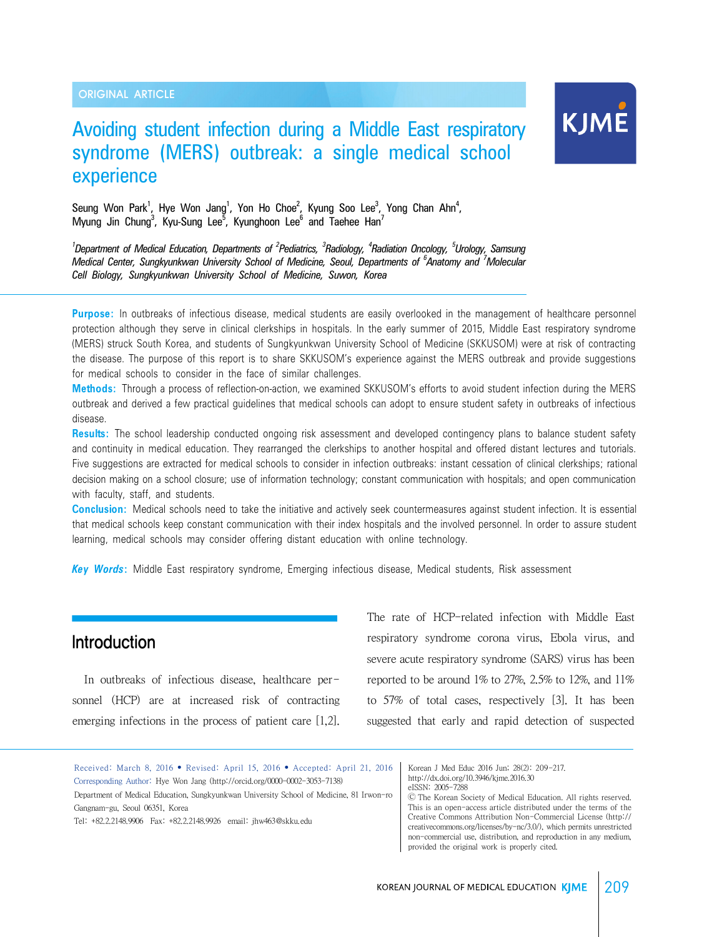# Avoiding student infection during a Middle East respiratory syndrome (MERS) outbreak: a single medical school experience



Seung Won Park<sup>1</sup>, Hye Won Jang<sup>1</sup>, Yon Ho Choe<sup>2</sup>, Kyung Soo Lee<sup>3</sup>, Yong Chan Ahn<sup>4</sup>, Myung Jin Chung<sup>3</sup>, Kyu-Sung Lee<sup>5</sup>, Kyunghoon Lee<sup>6</sup> and Taehee Han<sup>7</sup>

*1 Department of Medical Education, Departments of <sup>2</sup> Pediatrics, <sup>3</sup> Radiology, <sup>4</sup> Radiation Oncology, <sup>5</sup> Urology, Samsung Medical Center, Sungkyunkwan University School of Medicine, Seoul, Departments of <sup>6</sup> Anatomy and <sup>7</sup> Molecular Cell Biology, Sungkyunkwan University School of Medicine, Suwon, Korea* 

**Purpose:** In outbreaks of infectious disease, medical students are easily overlooked in the management of healthcare personnel protection although they serve in clinical clerkships in hospitals. In the early summer of 2015, Middle East respiratory syndrome (MERS) struck South Korea, and students of Sungkyunkwan University School of Medicine (SKKUSOM) were at risk of contracting the disease. The purpose of this report is to share SKKUSOM's experience against the MERS outbreak and provide suggestions for medical schools to consider in the face of similar challenges.

**Methods:** Through a process of reflection-on-action, we examined SKKUSOM's efforts to avoid student infection during the MERS outbreak and derived a few practical guidelines that medical schools can adopt to ensure student safety in outbreaks of infectious disease.

**Results:** The school leadership conducted ongoing risk assessment and developed contingency plans to balance student safety and continuity in medical education. They rearranged the clerkships to another hospital and offered distant lectures and tutorials. Five suggestions are extracted for medical schools to consider in infection outbreaks: instant cessation of clinical clerkships; rational decision making on a school closure; use of information technology; constant communication with hospitals; and open communication with faculty, staff, and students.

**Conclusion:** Medical schools need to take the initiative and actively seek countermeasures against student infection. It is essential that medical schools keep constant communication with their index hospitals and the involved personnel. In order to assure student learning, medical schools may consider offering distant education with online technology.

*Key Words***:** Middle East respiratory syndrome, Emerging infectious disease, Medical students, Risk assessment

# Introduction

In outbreaks of infectious disease, healthcare personnel (HCP) are at increased risk of contracting emerging infections in the process of patient care [1,2]. The rate of HCP-related infection with Middle East respiratory syndrome corona virus, Ebola virus, and severe acute respiratory syndrome (SARS) virus has been reported to be around  $1\%$  to  $27\%$ ,  $2.5\%$  to  $12\%$ , and  $11\%$ to 57% of total cases, respectively [3]. It has been suggested that early and rapid detection of suspected

Received: March 8, 2016 • Revised: April 15, 2016 • Accepted: April 21, 2016 Corresponding Author: Hye Won Jang (http://orcid.org/0000-0002-3053-7138) Department of Medical Education, Sungkyunkwan University School of Medicine, 81 Irwon-ro Gangnam-gu, Seoul 06351, Korea

Tel: +82.2.2148.9906 Fax: +82.2.2148.9926 email: jhw463@skku.edu

Korean J Med Educ 2016 Jun; 28(2): 209-217. http://dx.doi.org/10.3946/kjme.2016.30 eISSN: 2005-7288 Ⓒ The Korean Society of Medical Education. All rights reserved. This is an open-access article distributed under the terms of the Creative Commons Attribution Non-Commercial License (http:// creativecommons.org/licenses/by-nc/3.0/), which permits unrestricted

non-commercial use, distribution, and reproduction in any medium,

provided the original work is properly cited.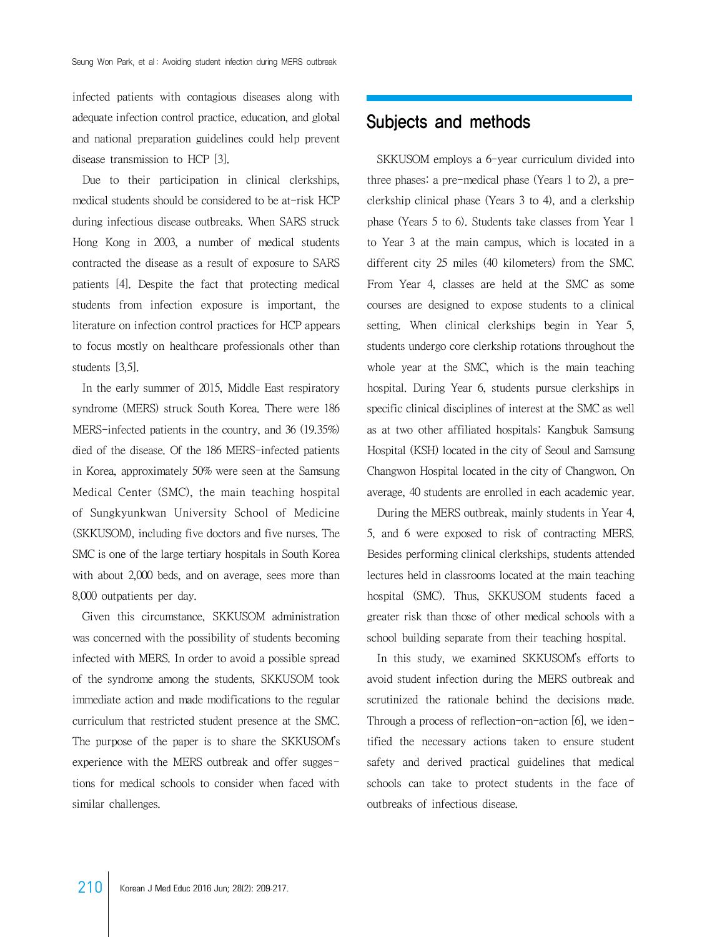infected patients with contagious diseases along with adequate infection control practice, education, and global and national preparation guidelines could help prevent disease transmission to HCP [3].

Due to their participation in clinical clerkships, medical students should be considered to be at-risk HCP during infectious disease outbreaks. When SARS struck Hong Kong in 2003, a number of medical students contracted the disease as a result of exposure to SARS patients [4]. Despite the fact that protecting medical students from infection exposure is important, the literature on infection control practices for HCP appears to focus mostly on healthcare professionals other than students [3,5].

 In the early summer of 2015, Middle East respiratory syndrome (MERS) struck South Korea. There were 186 MERS-infected patients in the country, and 36 (19.35%) died of the disease. Of the 186 MERS-infected patients in Korea, approximately 50% were seen at the Samsung Medical Center (SMC), the main teaching hospital of Sungkyunkwan University School of Medicine (SKKUSOM), including five doctors and five nurses. The SMC is one of the large tertiary hospitals in South Korea with about 2,000 beds, and on average, sees more than 8,000 outpatients per day.

 Given this circumstance, SKKUSOM administration was concerned with the possibility of students becoming infected with MERS. In order to avoid a possible spread of the syndrome among the students, SKKUSOM took immediate action and made modifications to the regular curriculum that restricted student presence at the SMC. The purpose of the paper is to share the SKKUSOM's experience with the MERS outbreak and offer suggestions for medical schools to consider when faced with similar challenges.

# Subjects and methods

 SKKUSOM employs a 6-year curriculum divided into three phases: a pre-medical phase (Years 1 to 2), a preclerkship clinical phase (Years 3 to 4), and a clerkship phase (Years 5 to 6). Students take classes from Year 1 to Year 3 at the main campus, which is located in a different city 25 miles (40 kilometers) from the SMC. From Year 4, classes are held at the SMC as some courses are designed to expose students to a clinical setting. When clinical clerkships begin in Year 5, students undergo core clerkship rotations throughout the whole year at the SMC, which is the main teaching hospital. During Year 6, students pursue clerkships in specific clinical disciplines of interest at the SMC as well as at two other affiliated hospitals: Kangbuk Samsung Hospital (KSH) located in the city of Seoul and Samsung Changwon Hospital located in the city of Changwon. On average, 40 students are enrolled in each academic year.

 During the MERS outbreak, mainly students in Year 4, 5, and 6 were exposed to risk of contracting MERS. Besides performing clinical clerkships, students attended lectures held in classrooms located at the main teaching hospital (SMC). Thus, SKKUSOM students faced a greater risk than those of other medical schools with a school building separate from their teaching hospital.

 In this study, we examined SKKUSOM's efforts to avoid student infection during the MERS outbreak and scrutinized the rationale behind the decisions made. Through a process of reflection-on-action [6], we identified the necessary actions taken to ensure student safety and derived practical guidelines that medical schools can take to protect students in the face of outbreaks of infectious disease.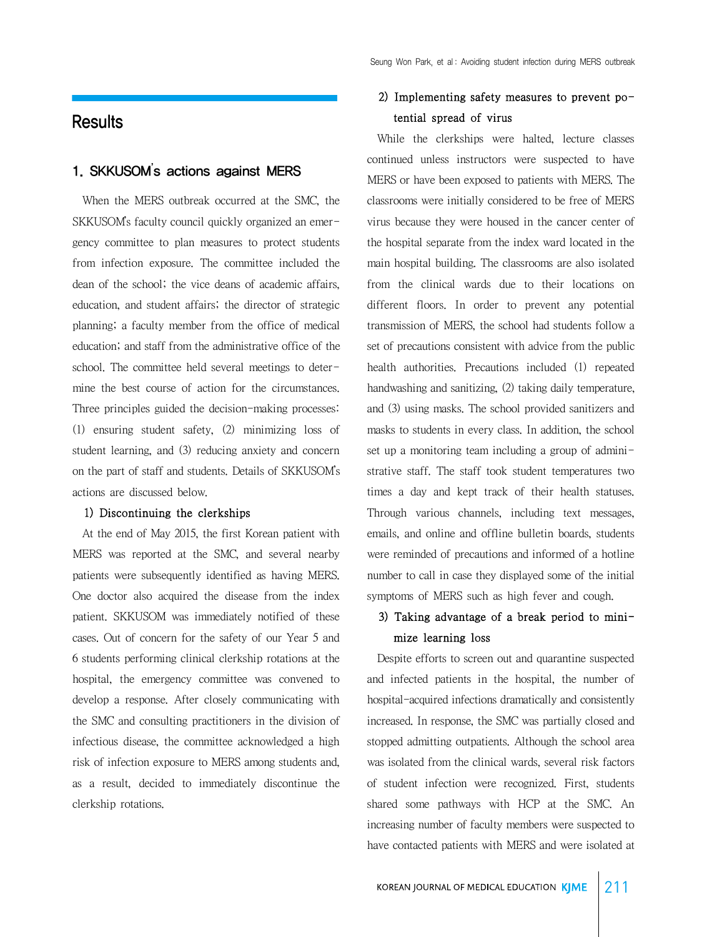### **Results**

### 1. SKKUSOM's actions against MERS

 When the MERS outbreak occurred at the SMC, the SKKUSOM's faculty council quickly organized an emergency committee to plan measures to protect students from infection exposure. The committee included the dean of the school; the vice deans of academic affairs, education, and student affairs; the director of strategic planning; a faculty member from the office of medical education; and staff from the administrative office of the school. The committee held several meetings to determine the best course of action for the circumstances. Three principles guided the decision-making processes: (1) ensuring student safety, (2) minimizing loss of student learning, and (3) reducing anxiety and concern on the part of staff and students. Details of SKKUSOM's actions are discussed below.

#### 1) Discontinuing the clerkships

 At the end of May 2015, the first Korean patient with MERS was reported at the SMC, and several nearby patients were subsequently identified as having MERS. One doctor also acquired the disease from the index patient. SKKUSOM was immediately notified of these cases. Out of concern for the safety of our Year 5 and 6 students performing clinical clerkship rotations at the hospital, the emergency committee was convened to develop a response. After closely communicating with the SMC and consulting practitioners in the division of infectious disease, the committee acknowledged a high risk of infection exposure to MERS among students and, as a result, decided to immediately discontinue the clerkship rotations.

### 2) Implementing safety measures to prevent potential spread of virus

 While the clerkships were halted, lecture classes continued unless instructors were suspected to have MERS or have been exposed to patients with MERS. The classrooms were initially considered to be free of MERS virus because they were housed in the cancer center of the hospital separate from the index ward located in the main hospital building. The classrooms are also isolated from the clinical wards due to their locations on different floors. In order to prevent any potential transmission of MERS, the school had students follow a set of precautions consistent with advice from the public health authorities. Precautions included (1) repeated handwashing and sanitizing, (2) taking daily temperature, and (3) using masks. The school provided sanitizers and masks to students in every class. In addition, the school set up a monitoring team including a group of administrative staff. The staff took student temperatures two times a day and kept track of their health statuses. Through various channels, including text messages, emails, and online and offline bulletin boards, students were reminded of precautions and informed of a hotline number to call in case they displayed some of the initial symptoms of MERS such as high fever and cough.

### 3) Taking advantage of a break period to minimize learning loss

 Despite efforts to screen out and quarantine suspected and infected patients in the hospital, the number of hospital-acquired infections dramatically and consistently increased. In response, the SMC was partially closed and stopped admitting outpatients. Although the school area was isolated from the clinical wards, several risk factors of student infection were recognized. First, students shared some pathways with HCP at the SMC. An increasing number of faculty members were suspected to have contacted patients with MERS and were isolated at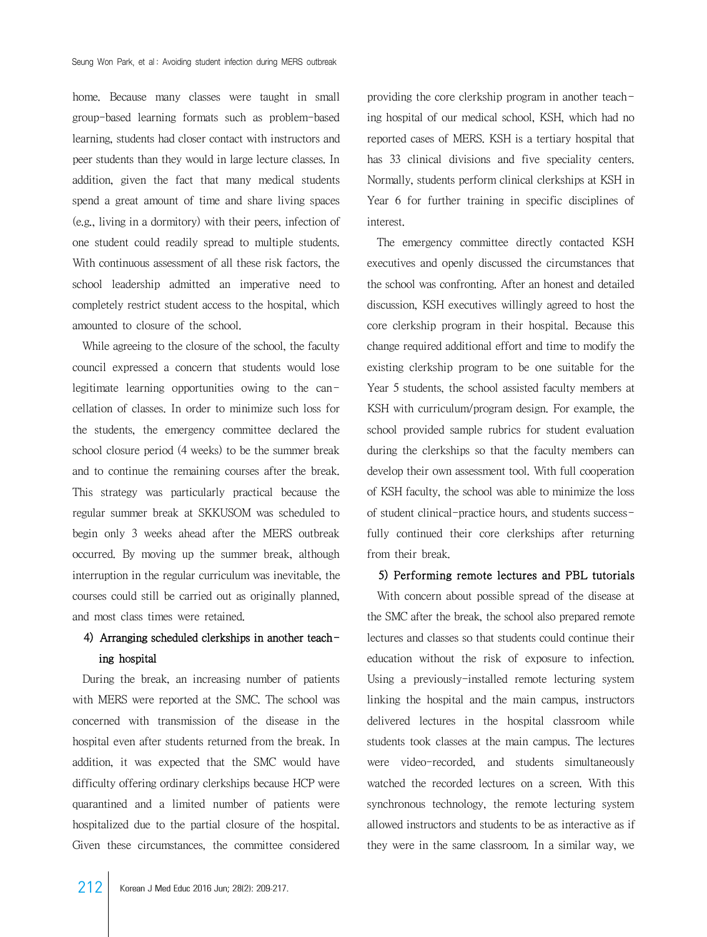home. Because many classes were taught in small group-based learning formats such as problem-based learning, students had closer contact with instructors and peer students than they would in large lecture classes. In addition, given the fact that many medical students spend a great amount of time and share living spaces (e.g., living in a dormitory) with their peers, infection of one student could readily spread to multiple students. With continuous assessment of all these risk factors, the school leadership admitted an imperative need to completely restrict student access to the hospital, which amounted to closure of the school.

 While agreeing to the closure of the school, the faculty council expressed a concern that students would lose legitimate learning opportunities owing to the cancellation of classes. In order to minimize such loss for the students, the emergency committee declared the school closure period (4 weeks) to be the summer break and to continue the remaining courses after the break. This strategy was particularly practical because the regular summer break at SKKUSOM was scheduled to begin only 3 weeks ahead after the MERS outbreak occurred. By moving up the summer break, although interruption in the regular curriculum was inevitable, the courses could still be carried out as originally planned, and most class times were retained.

### 4) Arranging scheduled clerkships in another teaching hospital

 During the break, an increasing number of patients with MERS were reported at the SMC. The school was concerned with transmission of the disease in the hospital even after students returned from the break. In addition, it was expected that the SMC would have difficulty offering ordinary clerkships because HCP were quarantined and a limited number of patients were hospitalized due to the partial closure of the hospital. Given these circumstances, the committee considered

providing the core clerkship program in another teaching hospital of our medical school, KSH, which had no reported cases of MERS. KSH is a tertiary hospital that has 33 clinical divisions and five speciality centers. Normally, students perform clinical clerkships at KSH in Year 6 for further training in specific disciplines of interest.

 The emergency committee directly contacted KSH executives and openly discussed the circumstances that the school was confronting. After an honest and detailed discussion, KSH executives willingly agreed to host the core clerkship program in their hospital. Because this change required additional effort and time to modify the existing clerkship program to be one suitable for the Year 5 students, the school assisted faculty members at KSH with curriculum/program design. For example, the school provided sample rubrics for student evaluation during the clerkships so that the faculty members can develop their own assessment tool. With full cooperation of KSH faculty, the school was able to minimize the loss of student clinical-practice hours, and students successfully continued their core clerkships after returning from their break.

#### 5) Performing remote lectures and PBL tutorials

 With concern about possible spread of the disease at the SMC after the break, the school also prepared remote lectures and classes so that students could continue their education without the risk of exposure to infection. Using a previously-installed remote lecturing system linking the hospital and the main campus, instructors delivered lectures in the hospital classroom while students took classes at the main campus. The lectures were video-recorded, and students simultaneously watched the recorded lectures on a screen. With this synchronous technology, the remote lecturing system allowed instructors and students to be as interactive as if they were in the same classroom. In a similar way, we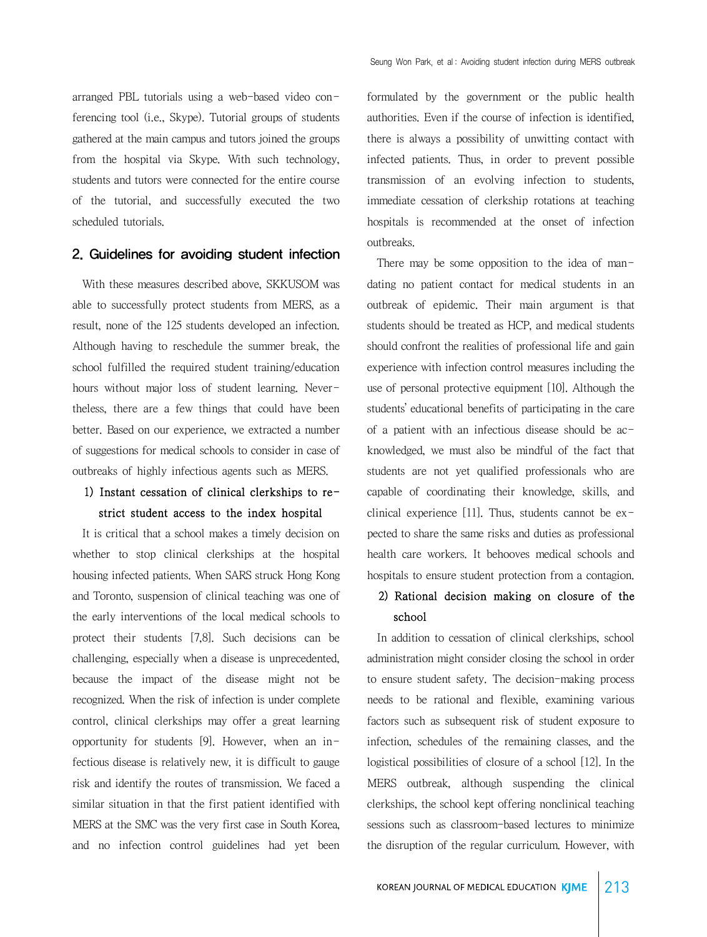arranged PBL tutorials using a web-based video conferencing tool (i.e., Skype). Tutorial groups of students gathered at the main campus and tutors joined the groups from the hospital via Skype. With such technology, students and tutors were connected for the entire course of the tutorial, and successfully executed the two scheduled tutorials.

#### 2. Guidelines for avoiding student infection

 With these measures described above, SKKUSOM was able to successfully protect students from MERS, as a result, none of the 125 students developed an infection. Although having to reschedule the summer break, the school fulfilled the required student training/education hours without major loss of student learning. Nevertheless, there are a few things that could have been better. Based on our experience, we extracted a number of suggestions for medical schools to consider in case of outbreaks of highly infectious agents such as MERS.

### 1) Instant cessation of clinical clerkships to restrict student access to the index hospital

 It is critical that a school makes a timely decision on whether to stop clinical clerkships at the hospital housing infected patients. When SARS struck Hong Kong and Toronto, suspension of clinical teaching was one of the early interventions of the local medical schools to protect their students [7,8]. Such decisions can be challenging, especially when a disease is unprecedented, because the impact of the disease might not be recognized. When the risk of infection is under complete control, clinical clerkships may offer a great learning opportunity for students [9]. However, when an infectious disease is relatively new, it is difficult to gauge risk and identify the routes of transmission. We faced a similar situation in that the first patient identified with MERS at the SMC was the very first case in South Korea, and no infection control guidelines had yet been

formulated by the government or the public health authorities. Even if the course of infection is identified, there is always a possibility of unwitting contact with infected patients. Thus, in order to prevent possible transmission of an evolving infection to students, immediate cessation of clerkship rotations at teaching hospitals is recommended at the onset of infection outbreaks.

 There may be some opposition to the idea of mandating no patient contact for medical students in an outbreak of epidemic. Their main argument is that students should be treated as HCP, and medical students should confront the realities of professional life and gain experience with infection control measures including the use of personal protective equipment [10]. Although the students' educational benefits of participating in the care of a patient with an infectious disease should be acknowledged, we must also be mindful of the fact that students are not yet qualified professionals who are capable of coordinating their knowledge, skills, and clinical experience [11]. Thus, students cannot be  $ex$ pected to share the same risks and duties as professional health care workers. It behooves medical schools and hospitals to ensure student protection from a contagion.

### 2) Rational decision making on closure of the school

 In addition to cessation of clinical clerkships, school administration might consider closing the school in order to ensure student safety. The decision-making process needs to be rational and flexible, examining various factors such as subsequent risk of student exposure to infection, schedules of the remaining classes, and the logistical possibilities of closure of a school [12]. In the MERS outbreak, although suspending the clinical clerkships, the school kept offering nonclinical teaching sessions such as classroom-based lectures to minimize the disruption of the regular curriculum. However, with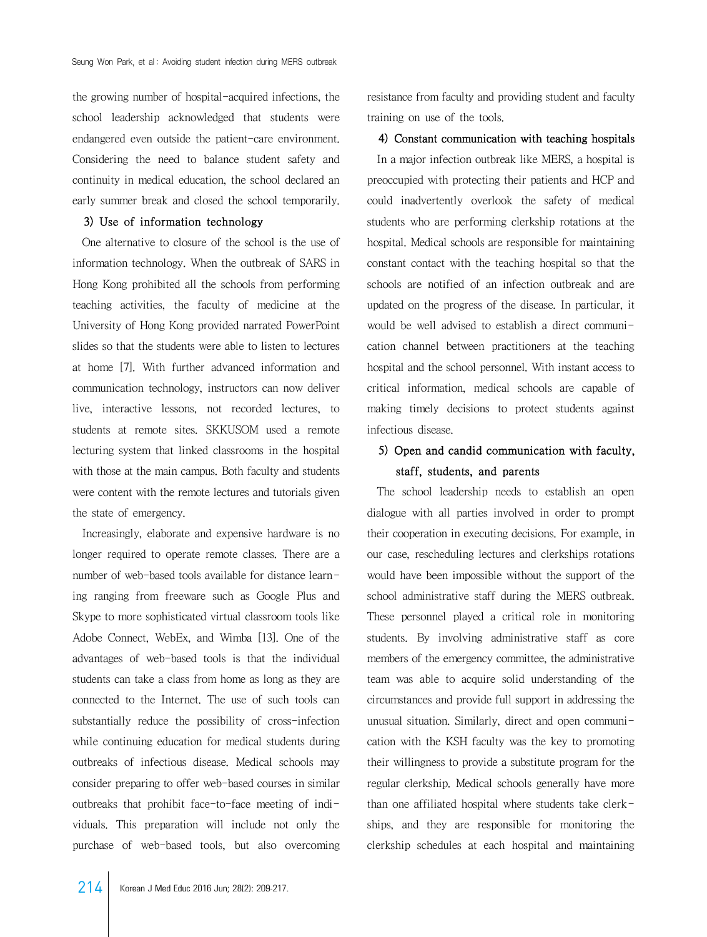the growing number of hospital-acquired infections, the school leadership acknowledged that students were endangered even outside the patient-care environment. Considering the need to balance student safety and continuity in medical education, the school declared an early summer break and closed the school temporarily.

#### 3) Use of information technology

 One alternative to closure of the school is the use of information technology. When the outbreak of SARS in Hong Kong prohibited all the schools from performing teaching activities, the faculty of medicine at the University of Hong Kong provided narrated PowerPoint slides so that the students were able to listen to lectures at home [7]. With further advanced information and communication technology, instructors can now deliver live, interactive lessons, not recorded lectures, to students at remote sites. SKKUSOM used a remote lecturing system that linked classrooms in the hospital with those at the main campus. Both faculty and students were content with the remote lectures and tutorials given the state of emergency.

 Increasingly, elaborate and expensive hardware is no longer required to operate remote classes. There are a number of web-based tools available for distance learning ranging from freeware such as Google Plus and Skype to more sophisticated virtual classroom tools like Adobe Connect, WebEx, and Wimba [13]. One of the advantages of web-based tools is that the individual students can take a class from home as long as they are connected to the Internet. The use of such tools can substantially reduce the possibility of cross-infection while continuing education for medical students during outbreaks of infectious disease. Medical schools may consider preparing to offer web-based courses in similar outbreaks that prohibit face-to-face meeting of individuals. This preparation will include not only the purchase of web-based tools, but also overcoming

resistance from faculty and providing student and faculty training on use of the tools.

4) Constant communication with teaching hospitals In a major infection outbreak like MERS, a hospital is preoccupied with protecting their patients and HCP and could inadvertently overlook the safety of medical students who are performing clerkship rotations at the hospital. Medical schools are responsible for maintaining constant contact with the teaching hospital so that the schools are notified of an infection outbreak and are updated on the progress of the disease. In particular, it would be well advised to establish a direct communication channel between practitioners at the teaching hospital and the school personnel. With instant access to critical information, medical schools are capable of making timely decisions to protect students against infectious disease.

### 5) Open and candid communication with faculty, staff, students, and parents

 The school leadership needs to establish an open dialogue with all parties involved in order to prompt their cooperation in executing decisions. For example, in our case, rescheduling lectures and clerkships rotations would have been impossible without the support of the school administrative staff during the MERS outbreak. These personnel played a critical role in monitoring students. By involving administrative staff as core members of the emergency committee, the administrative team was able to acquire solid understanding of the circumstances and provide full support in addressing the unusual situation. Similarly, direct and open communication with the KSH faculty was the key to promoting their willingness to provide a substitute program for the regular clerkship. Medical schools generally have more than one affiliated hospital where students take clerkships, and they are responsible for monitoring the clerkship schedules at each hospital and maintaining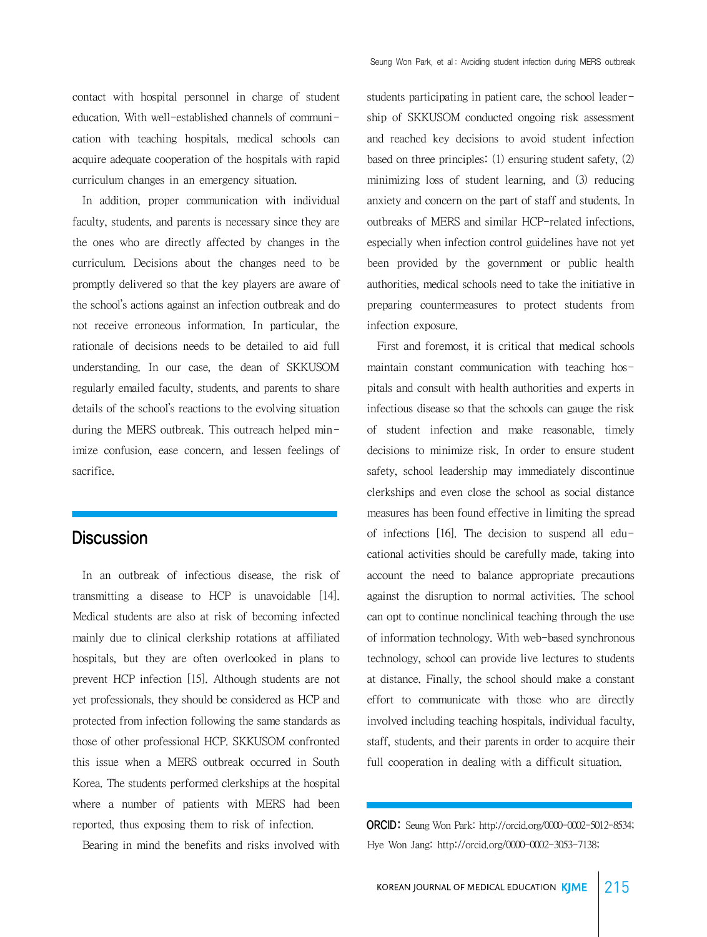contact with hospital personnel in charge of student education. With well-established channels of communication with teaching hospitals, medical schools can acquire adequate cooperation of the hospitals with rapid curriculum changes in an emergency situation.

 In addition, proper communication with individual faculty, students, and parents is necessary since they are the ones who are directly affected by changes in the curriculum. Decisions about the changes need to be promptly delivered so that the key players are aware of the school's actions against an infection outbreak and do not receive erroneous information. In particular, the rationale of decisions needs to be detailed to aid full understanding. In our case, the dean of SKKUSOM regularly emailed faculty, students, and parents to share details of the school's reactions to the evolving situation during the MERS outbreak. This outreach helped minimize confusion, ease concern, and lessen feelings of sacrifice.

## **Discussion**

 In an outbreak of infectious disease, the risk of transmitting a disease to HCP is unavoidable [14]. Medical students are also at risk of becoming infected mainly due to clinical clerkship rotations at affiliated hospitals, but they are often overlooked in plans to prevent HCP infection [15]. Although students are not yet professionals, they should be considered as HCP and protected from infection following the same standards as those of other professional HCP. SKKUSOM confronted this issue when a MERS outbreak occurred in South Korea. The students performed clerkships at the hospital where a number of patients with MERS had been reported, thus exposing them to risk of infection.

Bearing in mind the benefits and risks involved with

students participating in patient care, the school leadership of SKKUSOM conducted ongoing risk assessment and reached key decisions to avoid student infection based on three principles: (1) ensuring student safety, (2) minimizing loss of student learning, and (3) reducing anxiety and concern on the part of staff and students. In outbreaks of MERS and similar HCP-related infections, especially when infection control guidelines have not yet been provided by the government or public health authorities, medical schools need to take the initiative in preparing countermeasures to protect students from infection exposure.

 First and foremost, it is critical that medical schools maintain constant communication with teaching hospitals and consult with health authorities and experts in infectious disease so that the schools can gauge the risk of student infection and make reasonable, timely decisions to minimize risk. In order to ensure student safety, school leadership may immediately discontinue clerkships and even close the school as social distance measures has been found effective in limiting the spread of infections [16]. The decision to suspend all educational activities should be carefully made, taking into account the need to balance appropriate precautions against the disruption to normal activities. The school can opt to continue nonclinical teaching through the use of information technology. With web-based synchronous technology, school can provide live lectures to students at distance. Finally, the school should make a constant effort to communicate with those who are directly involved including teaching hospitals, individual faculty, staff, students, and their parents in order to acquire their full cooperation in dealing with a difficult situation.

ORCID: Seung Won Park: http://orcid.org/0000-0002-5012-8534; Hye Won Jang: http://orcid.org/0000-0002-3053-7138;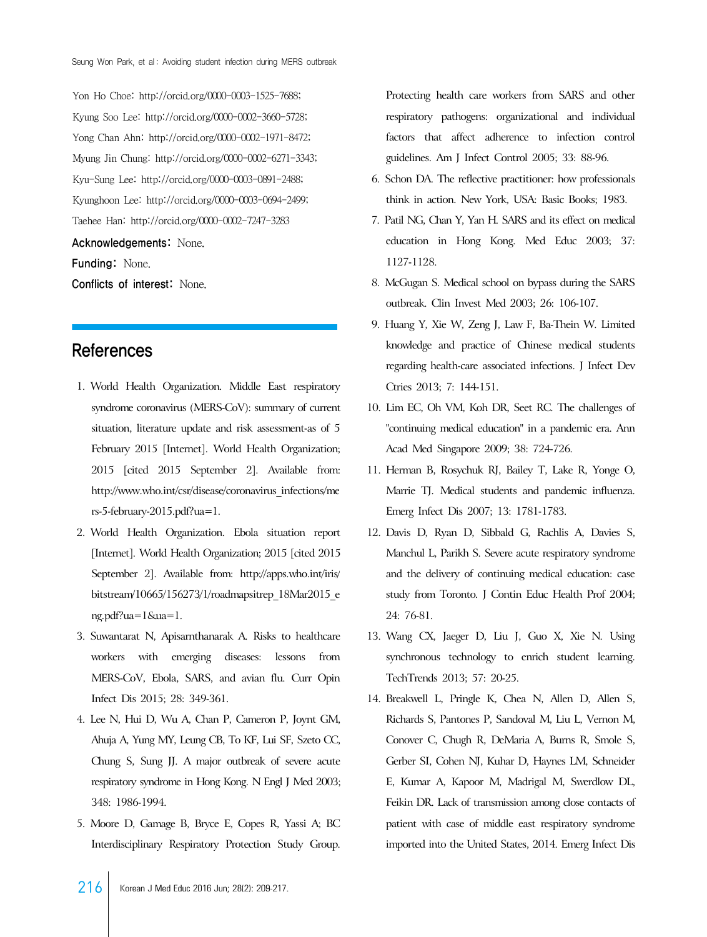Yon Ho Choe: http://orcid.org/0000-0003-1525-7688; Kyung Soo Lee: http://orcid.org/0000-0002-3660-5728; Yong Chan Ahn: http://orcid.org/0000-0002-1971-8472; Myung Jin Chung: http://orcid.org/0000-0002-6271-3343; Kyu-Sung Lee: http://orcid.org/0000-0003-0891-2488; Kyunghoon Lee: http://orcid.org/0000-0003-0694-2499; Taehee Han: http://orcid.org/0000-0002-7247-3283

Acknowledgements: None.

Funding: None.

Conflicts of interest: None.

### References

- 1. World Health Organization. Middle East respiratory syndrome coronavirus (MERS-CoV): summary of current situation, literature update and risk assessment-as of 5 February 2015 [Internet]. World Health Organization; 2015 [cited 2015 September 2]. Available from: [http://www.who.int/csr/disease/coronavirus\\_infections/me](http://www.who.int/csr/disease/coronavirus_infections/mers-5-february-2015.pdf?ua=1) rs-5-february-2015.pdf?ua=1.
- 2. World Health Organization. Ebola situation report [Internet]. World Health Organization; 2015 [cited 2015 [September 2\]. Available from: http://apps.who.int/iris/](http://apps.who.int/iris/bitstream/10665/156273/1/roadmapsitrep_18Mar2015_eng.pdf?ua=1&ua=1) bitstream/10665/156273/1/roadmapsitrep\_18Mar2015\_e ng.pdf?ua=1&ua=1.
- 3. Suwantarat N, Apisarnthanarak A. Risks to healthcare workers with emerging diseases: lessons from MERS-CoV, Ebola, SARS, and avian flu. Curr Opin Infect Dis 2015; 28: 349-361.
- 4. Lee N, Hui D, Wu A, Chan P, Cameron P, Joynt GM, Ahuja A, Yung MY, Leung CB, To KF, Lui SF, Szeto CC, Chung S, Sung JJ. A major outbreak of severe acute respiratory syndrome in Hong Kong. N Engl J Med 2003; 348: 1986-1994.
- 5. Moore D, Gamage B, Bryce E, Copes R, Yassi A; BC Interdisciplinary Respiratory Protection Study Group.

Protecting health care workers from SARS and other respiratory pathogens: organizational and individual factors that affect adherence to infection control guidelines. Am J Infect Control 2005; 33: 88-96.

- 6. Schon DA. The reflective practitioner: how professionals think in action. New York, USA: Basic Books; 1983.
- 7. Patil NG, Chan Y, Yan H. SARS and its effect on medical education in Hong Kong. Med Educ 2003; 37: 1127-1128.
- 8. McGugan S. Medical school on bypass during the SARS outbreak. Clin Invest Med 2003; 26: 106-107.
- 9. Huang Y, Xie W, Zeng J, Law F, Ba-Thein W. Limited knowledge and practice of Chinese medical students regarding health-care associated infections. J Infect Dev Ctries 2013; 7: 144-151.
- 10. Lim EC, Oh VM, Koh DR, Seet RC. The challenges of "continuing medical education" in a pandemic era. Ann Acad Med Singapore 2009; 38: 724-726.
- 11. Herman B, Rosychuk RJ, Bailey T, Lake R, Yonge O, Marrie TJ. Medical students and pandemic influenza. Emerg Infect Dis 2007; 13: 1781-1783.
- 12. Davis D, Ryan D, Sibbald G, Rachlis A, Davies S, Manchul L, Parikh S. Severe acute respiratory syndrome and the delivery of continuing medical education: case study from Toronto. J Contin Educ Health Prof 2004; 24: 76-81.
- 13. Wang CX, Jaeger D, Liu J, Guo X, Xie N. Using synchronous technology to enrich student learning. TechTrends 2013; 57: 20-25.
- 14. Breakwell L, Pringle K, Chea N, Allen D, Allen S, Richards S, Pantones P, Sandoval M, Liu L, Vernon M, Conover C, Chugh R, DeMaria A, Burns R, Smole S, Gerber SI, Cohen NJ, Kuhar D, Haynes LM, Schneider E, Kumar A, Kapoor M, Madrigal M, Swerdlow DL, Feikin DR. Lack of transmission among close contacts of patient with case of middle east respiratory syndrome imported into the United States, 2014. Emerg Infect Dis